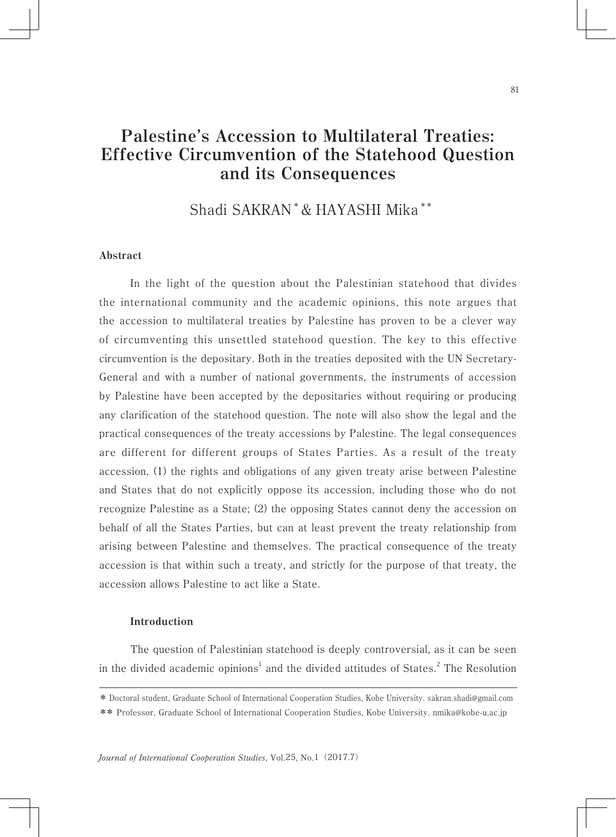# **Palestine's Accession to Multilateral Treaties: Effective Circumvention of the Statehood Question and its Consequences**

Shadi SAKRAN \* & HAYASHI Mika \*\*

## **Abstract**

In the light of the question about the Palestinian statehood that divides the international community and the academic opinions, this note argues that the accession to multilateral treaties by Palestine has proven to be a clever way of circumventing this unsettled statehood question. The key to this effective circumvention is the depositary. Both in the treaties deposited with the UN Secretary-General and with a number of national governments, the instruments of accession by Palestine have been accepted by the depositaries without requiring or producing any clarification of the statehood question. The note will also show the legal and the practical consequences of the treaty accessions by Palestine. The legal consequences are different for different groups of States Parties. As a result of the treaty accession, (1) the rights and obligations of any given treaty arise between Palestine and States that do not explicitly oppose its accession, including those who do not recognize Palestine as a State; (2) the opposing States cannot deny the accession on behalf of all the States Parties, but can at least prevent the treaty relationship from arising between Palestine and themselves. The practical consequence of the treaty accession is that within such a treaty, and strictly for the purpose of that treaty, the accession allows Palestine to act like a State.

#### **Introduction**

The question of Palestinian statehood is deeply controversial, as it can be seen in the divided academic opinions<sup>1</sup> and the divided attitudes of States.<sup>2</sup> The Resolution

*Journal of International Cooperation Studies*, Vol.25, No.1(2017.7)

<sup>\*</sup> Doctoral student, Graduate School of International Cooperation Studies, Kobe University. sakran.shadi@gmail.com

<sup>\*\*</sup> Professor, Graduate School of International Cooperation Studies, Kobe University. nmika@kobe-u.ac.jp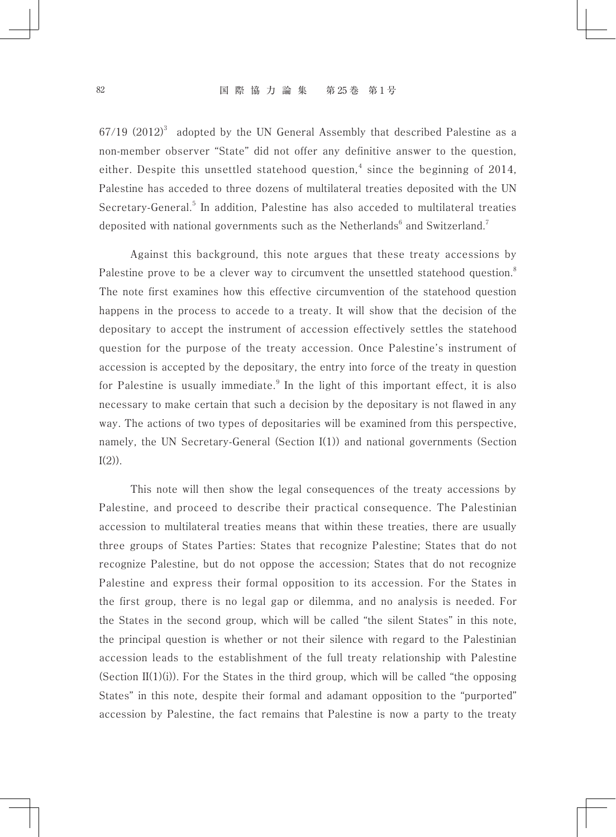$67/19$   $(2012)^3$  adopted by the UN General Assembly that described Palestine as a non-member observer "State" did not offer any definitive answer to the question, either. Despite this unsettled statehood question, $<sup>4</sup>$  since the beginning of 2014,</sup> Palestine has acceded to three dozens of multilateral treaties deposited with the UN Secretary-General.<sup>5</sup> In addition, Palestine has also acceded to multilateral treaties deposited with national governments such as the Netherlands<sup>6</sup> and Switzerland.<sup>7</sup>

Against this background, this note argues that these treaty accessions by Palestine prove to be a clever way to circumvent the unsettled statehood question.<sup>8</sup> The note first examines how this effective circumvention of the statehood question happens in the process to accede to a treaty. It will show that the decision of the depositary to accept the instrument of accession effectively settles the statehood question for the purpose of the treaty accession. Once Palestine's instrument of accession is accepted by the depositary, the entry into force of the treaty in question for Palestine is usually immediate. $9$  In the light of this important effect, it is also necessary to make certain that such a decision by the depositary is not flawed in any way. The actions of two types of depositaries will be examined from this perspective, namely, the UN Secretary-General (Section I(1)) and national governments (Section  $I(2)$ ).

This note will then show the legal consequences of the treaty accessions by Palestine, and proceed to describe their practical consequence. The Palestinian accession to multilateral treaties means that within these treaties, there are usually three groups of States Parties: States that recognize Palestine; States that do not recognize Palestine, but do not oppose the accession; States that do not recognize Palestine and express their formal opposition to its accession. For the States in the first group, there is no legal gap or dilemma, and no analysis is needed. For the States in the second group, which will be called "the silent States" in this note, the principal question is whether or not their silence with regard to the Palestinian accession leads to the establishment of the full treaty relationship with Palestine (Section II(1)(i)). For the States in the third group, which will be called "the opposing States" in this note, despite their formal and adamant opposition to the "purported" accession by Palestine, the fact remains that Palestine is now a party to the treaty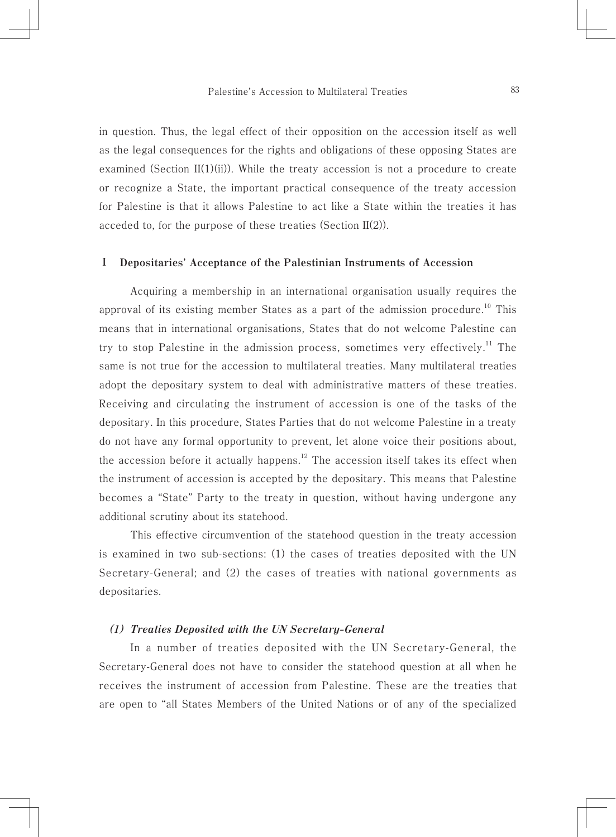in question. Thus, the legal effect of their opposition on the accession itself as well as the legal consequences for the rights and obligations of these opposing States are examined (Section II(1)(ii)). While the treaty accession is not a procedure to create or recognize a State, the important practical consequence of the treaty accession for Palestine is that it allows Palestine to act like a State within the treaties it has acceded to, for the purpose of these treaties (Section II(2)).

#### **Ⅰ Depositaries' Acceptance of the Palestinian Instruments of Accession**

Acquiring a membership in an international organisation usually requires the approval of its existing member States as a part of the admission procedure.<sup>10</sup> This means that in international organisations, States that do not welcome Palestine can try to stop Palestine in the admission process, sometimes very effectively.<sup>11</sup> The same is not true for the accession to multilateral treaties. Many multilateral treaties adopt the depositary system to deal with administrative matters of these treaties. Receiving and circulating the instrument of accession is one of the tasks of the depositary. In this procedure, States Parties that do not welcome Palestine in a treaty do not have any formal opportunity to prevent, let alone voice their positions about, the accession before it actually happens.<sup>12</sup> The accession itself takes its effect when the instrument of accession is accepted by the depositary. This means that Palestine becomes a "State" Party to the treaty in question, without having undergone any additional scrutiny about its statehood.

This effective circumvention of the statehood question in the treaty accession is examined in two sub-sections: (1) the cases of treaties deposited with the UN Secretary-General; and (2) the cases of treaties with national governments as depositaries.

#### *(1) Treaties Deposited with the UN Secretary-General*

In a number of treaties deposited with the UN Secretary-General, the Secretary-General does not have to consider the statehood question at all when he receives the instrument of accession from Palestine. These are the treaties that are open to "all States Members of the United Nations or of any of the specialized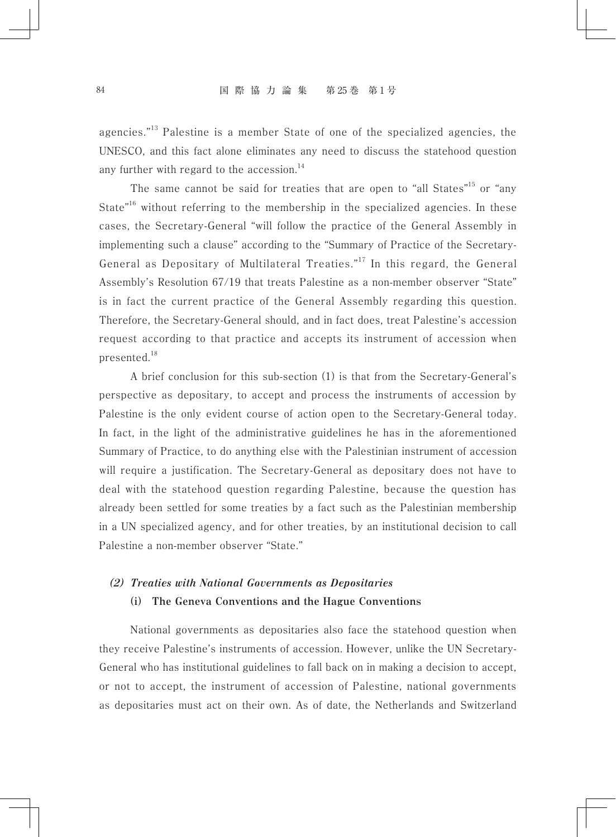agencies."13 Palestine is a member State of one of the specialized agencies, the UNESCO, and this fact alone eliminates any need to discuss the statehood question any further with regard to the accession.<sup>14</sup>

The same cannot be said for treaties that are open to "all States"<sup>15</sup> or "any State"<sup>16</sup> without referring to the membership in the specialized agencies. In these cases, the Secretary-General "will follow the practice of the General Assembly in implementing such a clause" according to the "Summary of Practice of the Secretary-General as Depositary of Multilateral Treaties."<sup>17</sup> In this regard, the General Assembly's Resolution 67/19 that treats Palestine as a non-member observer "State" is in fact the current practice of the General Assembly regarding this question. Therefore, the Secretary-General should, and in fact does, treat Palestine's accession request according to that practice and accepts its instrument of accession when presented.18

A brief conclusion for this sub-section (1) is that from the Secretary-General's perspective as depositary, to accept and process the instruments of accession by Palestine is the only evident course of action open to the Secretary-General today. In fact, in the light of the administrative guidelines he has in the aforementioned Summary of Practice, to do anything else with the Palestinian instrument of accession will require a justification. The Secretary-General as depositary does not have to deal with the statehood question regarding Palestine, because the question has already been settled for some treaties by a fact such as the Palestinian membership in a UN specialized agency, and for other treaties, by an institutional decision to call Palestine a non-member observer "State."

## *(2) Treaties with National Governments as Depositaries*

## **(i) The Geneva Conventions and the Hague Conventions**

National governments as depositaries also face the statehood question when they receive Palestine's instruments of accession. However, unlike the UN Secretary-General who has institutional guidelines to fall back on in making a decision to accept, or not to accept, the instrument of accession of Palestine, national governments as depositaries must act on their own. As of date, the Netherlands and Switzerland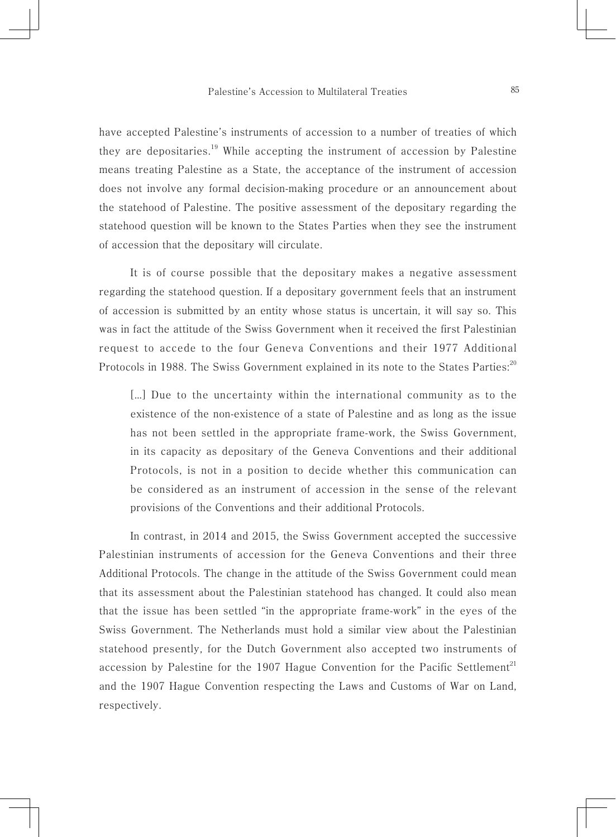have accepted Palestine's instruments of accession to a number of treaties of which they are depositaries.<sup>19</sup> While accepting the instrument of accession by Palestine means treating Palestine as a State, the acceptance of the instrument of accession does not involve any formal decision-making procedure or an announcement about the statehood of Palestine. The positive assessment of the depositary regarding the statehood question will be known to the States Parties when they see the instrument of accession that the depositary will circulate.

It is of course possible that the depositary makes a negative assessment regarding the statehood question. If a depositary government feels that an instrument of accession is submitted by an entity whose status is uncertain, it will say so. This was in fact the attitude of the Swiss Government when it received the first Palestinian request to accede to the four Geneva Conventions and their 1977 Additional Protocols in 1988. The Swiss Government explained in its note to the States Parties:<sup>20</sup>

[…] Due to the uncertainty within the international community as to the existence of the non-existence of a state of Palestine and as long as the issue has not been settled in the appropriate frame-work, the Swiss Government, in its capacity as depositary of the Geneva Conventions and their additional Protocols, is not in a position to decide whether this communication can be considered as an instrument of accession in the sense of the relevant provisions of the Conventions and their additional Protocols.

In contrast, in 2014 and 2015, the Swiss Government accepted the successive Palestinian instruments of accession for the Geneva Conventions and their three Additional Protocols. The change in the attitude of the Swiss Government could mean that its assessment about the Palestinian statehood has changed. It could also mean that the issue has been settled "in the appropriate frame-work" in the eyes of the Swiss Government. The Netherlands must hold a similar view about the Palestinian statehood presently, for the Dutch Government also accepted two instruments of accession by Palestine for the 1907 Hague Convention for the Pacific Settlement<sup>21</sup> and the 1907 Hague Convention respecting the Laws and Customs of War on Land, respectively.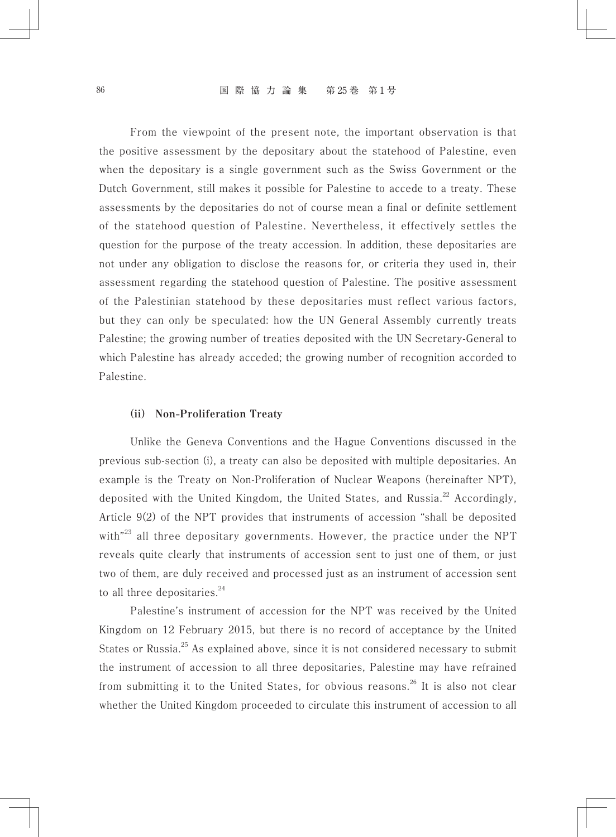From the viewpoint of the present note, the important observation is that the positive assessment by the depositary about the statehood of Palestine, even when the depositary is a single government such as the Swiss Government or the Dutch Government, still makes it possible for Palestine to accede to a treaty. These assessments by the depositaries do not of course mean a final or definite settlement of the statehood question of Palestine. Nevertheless, it effectively settles the question for the purpose of the treaty accession. In addition, these depositaries are not under any obligation to disclose the reasons for, or criteria they used in, their assessment regarding the statehood question of Palestine. The positive assessment of the Palestinian statehood by these depositaries must reflect various factors, but they can only be speculated: how the UN General Assembly currently treats Palestine; the growing number of treaties deposited with the UN Secretary-General to which Palestine has already acceded; the growing number of recognition accorded to Palestine.

#### **(ii) Non-Proliferation Treaty**

Unlike the Geneva Conventions and the Hague Conventions discussed in the previous sub-section (i), a treaty can also be deposited with multiple depositaries. An example is the Treaty on Non-Proliferation of Nuclear Weapons (hereinafter NPT), deposited with the United Kingdom, the United States, and Russia.<sup>22</sup> Accordingly, Article 9(2) of the NPT provides that instruments of accession "shall be deposited with"<sup>23</sup> all three depositary governments. However, the practice under the NPT reveals quite clearly that instruments of accession sent to just one of them, or just two of them, are duly received and processed just as an instrument of accession sent to all three depositaries. $24$ 

Palestine's instrument of accession for the NPT was received by the United Kingdom on 12 February 2015, but there is no record of acceptance by the United States or Russia.<sup>25</sup> As explained above, since it is not considered necessary to submit the instrument of accession to all three depositaries, Palestine may have refrained from submitting it to the United States, for obvious reasons.<sup>26</sup> It is also not clear whether the United Kingdom proceeded to circulate this instrument of accession to all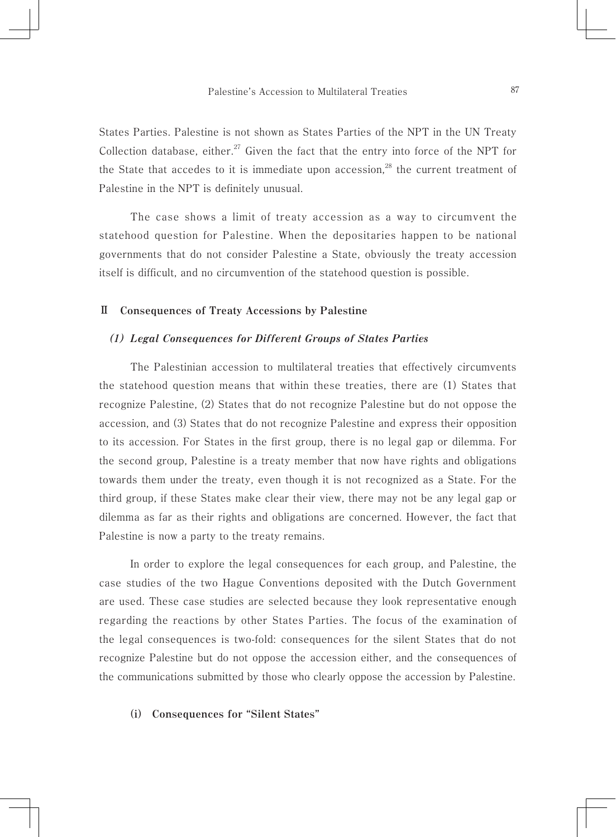States Parties. Palestine is not shown as States Parties of the NPT in the UN Treaty Collection database, either.<sup>27</sup> Given the fact that the entry into force of the NPT for the State that accedes to it is immediate upon accession, $28$  the current treatment of Palestine in the NPT is definitely unusual.

The case shows a limit of treaty accession as a way to circumvent the statehood question for Palestine. When the depositaries happen to be national governments that do not consider Palestine a State, obviously the treaty accession itself is difficult, and no circumvention of the statehood question is possible.

#### **Ⅱ Consequences of Treaty Accessions by Palestine**

#### *(1) Legal Consequences for Different Groups of States Parties*

The Palestinian accession to multilateral treaties that effectively circumvents the statehood question means that within these treaties, there are (1) States that recognize Palestine, (2) States that do not recognize Palestine but do not oppose the accession, and (3) States that do not recognize Palestine and express their opposition to its accession. For States in the first group, there is no legal gap or dilemma. For the second group, Palestine is a treaty member that now have rights and obligations towards them under the treaty, even though it is not recognized as a State. For the third group, if these States make clear their view, there may not be any legal gap or dilemma as far as their rights and obligations are concerned. However, the fact that Palestine is now a party to the treaty remains.

In order to explore the legal consequences for each group, and Palestine, the case studies of the two Hague Conventions deposited with the Dutch Government are used. These case studies are selected because they look representative enough regarding the reactions by other States Parties. The focus of the examination of the legal consequences is two-fold: consequences for the silent States that do not recognize Palestine but do not oppose the accession either, and the consequences of the communications submitted by those who clearly oppose the accession by Palestine.

#### **(i) Consequences for "Silent States"**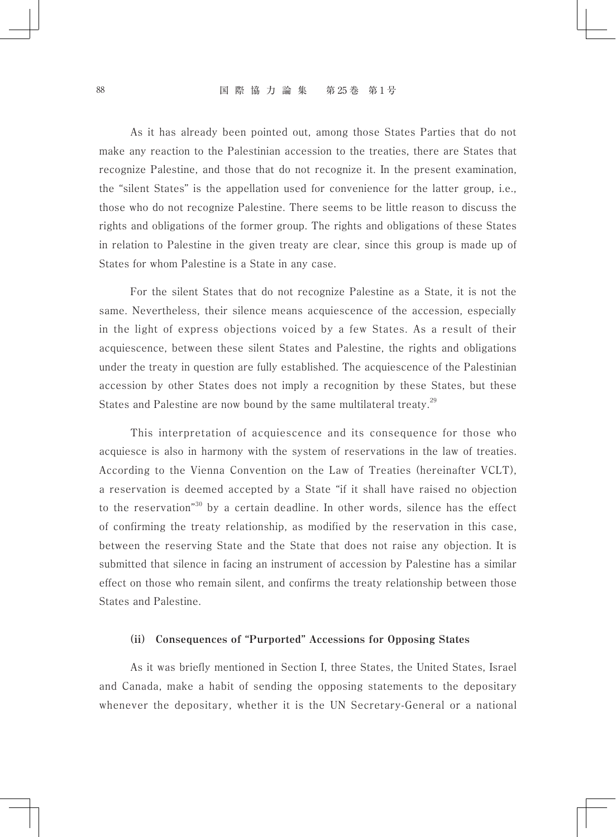#### 88 国 際 協 力 論 集 第 25 巻 第 1 号

As it has already been pointed out, among those States Parties that do not make any reaction to the Palestinian accession to the treaties, there are States that recognize Palestine, and those that do not recognize it. In the present examination, the "silent States" is the appellation used for convenience for the latter group, i.e., those who do not recognize Palestine. There seems to be little reason to discuss the rights and obligations of the former group. The rights and obligations of these States in relation to Palestine in the given treaty are clear, since this group is made up of States for whom Palestine is a State in any case.

For the silent States that do not recognize Palestine as a State, it is not the same. Nevertheless, their silence means acquiescence of the accession, especially in the light of express objections voiced by a few States. As a result of their acquiescence, between these silent States and Palestine, the rights and obligations under the treaty in question are fully established. The acquiescence of the Palestinian accession by other States does not imply a recognition by these States, but these States and Palestine are now bound by the same multilateral treaty.<sup>29</sup>

This interpretation of acquiescence and its consequence for those who acquiesce is also in harmony with the system of reservations in the law of treaties. According to the Vienna Convention on the Law of Treaties (hereinafter VCLT), a reservation is deemed accepted by a State "if it shall have raised no objection to the reservation"<sup>30</sup> by a certain deadline. In other words, silence has the effect of confirming the treaty relationship, as modified by the reservation in this case, between the reserving State and the State that does not raise any objection. It is submitted that silence in facing an instrument of accession by Palestine has a similar effect on those who remain silent, and confirms the treaty relationship between those States and Palestine.

#### **(ii) Consequences of "Purported" Accessions for Opposing States**

As it was briefly mentioned in Section I, three States, the United States, Israel and Canada, make a habit of sending the opposing statements to the depositary whenever the depositary, whether it is the UN Secretary-General or a national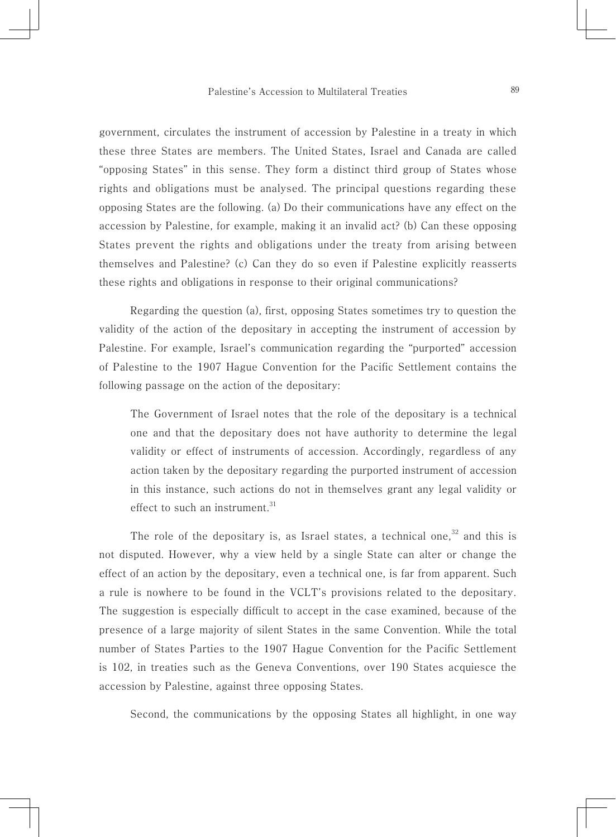government, circulates the instrument of accession by Palestine in a treaty in which these three States are members. The United States, Israel and Canada are called "opposing States" in this sense. They form a distinct third group of States whose rights and obligations must be analysed. The principal questions regarding these opposing States are the following. (a) Do their communications have any effect on the accession by Palestine, for example, making it an invalid act? (b) Can these opposing States prevent the rights and obligations under the treaty from arising between themselves and Palestine? (c) Can they do so even if Palestine explicitly reasserts these rights and obligations in response to their original communications?

Regarding the question (a), first, opposing States sometimes try to question the validity of the action of the depositary in accepting the instrument of accession by Palestine. For example, Israel's communication regarding the "purported" accession of Palestine to the 1907 Hague Convention for the Pacific Settlement contains the following passage on the action of the depositary:

The Government of Israel notes that the role of the depositary is a technical one and that the depositary does not have authority to determine the legal validity or effect of instruments of accession. Accordingly, regardless of any action taken by the depositary regarding the purported instrument of accession in this instance, such actions do not in themselves grant any legal validity or effect to such an instrument.<sup>31</sup>

The role of the depositary is, as Israel states, a technical one, $32$  and this is not disputed. However, why a view held by a single State can alter or change the effect of an action by the depositary, even a technical one, is far from apparent. Such a rule is nowhere to be found in the VCLT's provisions related to the depositary. The suggestion is especially difficult to accept in the case examined, because of the presence of a large majority of silent States in the same Convention. While the total number of States Parties to the 1907 Hague Convention for the Pacific Settlement is 102, in treaties such as the Geneva Conventions, over 190 States acquiesce the accession by Palestine, against three opposing States.

Second, the communications by the opposing States all highlight, in one way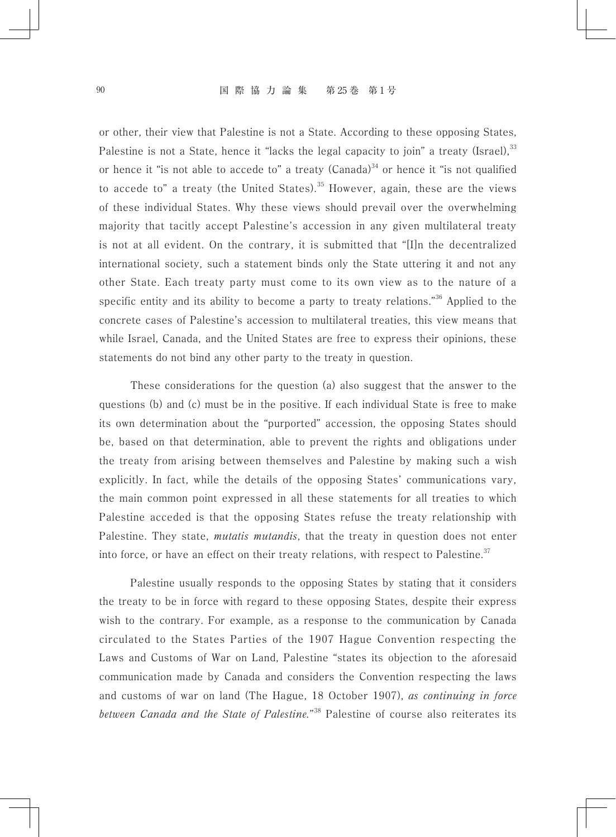or other, their view that Palestine is not a State. According to these opposing States, Palestine is not a State, hence it "lacks the legal capacity to join" a treaty (Israel),  $33$ or hence it "is not able to accede to" a treaty (Canada)<sup>34</sup> or hence it "is not qualified to accede to" a treaty (the United States).<sup>35</sup> However, again, these are the views of these individual States. Why these views should prevail over the overwhelming majority that tacitly accept Palestine's accession in any given multilateral treaty is not at all evident. On the contrary, it is submitted that "[I]n the decentralized international society, such a statement binds only the State uttering it and not any other State. Each treaty party must come to its own view as to the nature of a specific entity and its ability to become a party to treaty relations."<sup>36</sup> Applied to the concrete cases of Palestine's accession to multilateral treaties, this view means that while Israel, Canada, and the United States are free to express their opinions, these statements do not bind any other party to the treaty in question.

These considerations for the question (a) also suggest that the answer to the questions (b) and (c) must be in the positive. If each individual State is free to make its own determination about the "purported" accession, the opposing States should be, based on that determination, able to prevent the rights and obligations under the treaty from arising between themselves and Palestine by making such a wish explicitly. In fact, while the details of the opposing States' communications vary, the main common point expressed in all these statements for all treaties to which Palestine acceded is that the opposing States refuse the treaty relationship with Palestine. They state, *mutatis mutandis*, that the treaty in question does not enter into force, or have an effect on their treaty relations, with respect to Palestine.<sup>37</sup>

Palestine usually responds to the opposing States by stating that it considers the treaty to be in force with regard to these opposing States, despite their express wish to the contrary. For example, as a response to the communication by Canada circulated to the States Parties of the 1907 Hague Convention respecting the Laws and Customs of War on Land, Palestine "states its objection to the aforesaid communication made by Canada and considers the Convention respecting the laws and customs of war on land (The Hague, 18 October 1907), *as continuing in force between Canada and the State of Palestine.*" 38 Palestine of course also reiterates its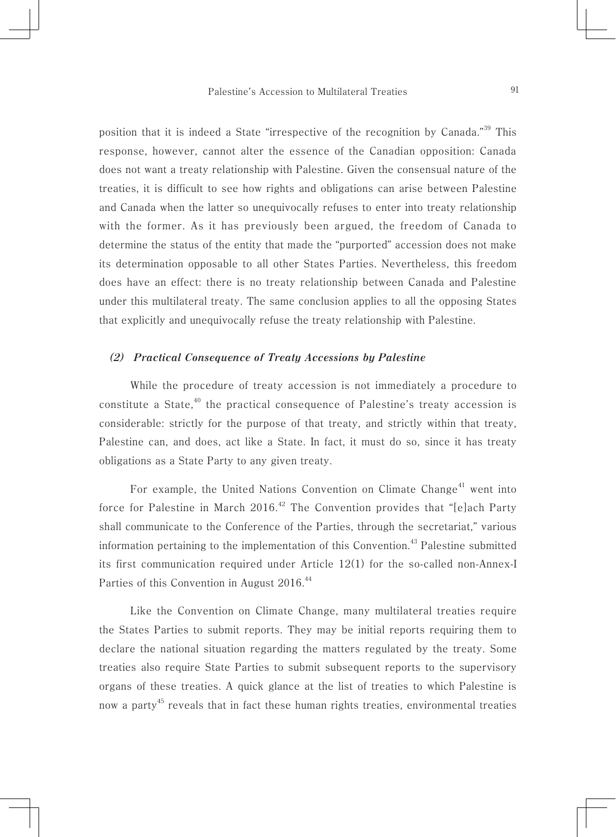position that it is indeed a State "irrespective of the recognition by Canada."39 This response, however, cannot alter the essence of the Canadian opposition: Canada does not want a treaty relationship with Palestine. Given the consensual nature of the treaties, it is difficult to see how rights and obligations can arise between Palestine and Canada when the latter so unequivocally refuses to enter into treaty relationship with the former. As it has previously been argued, the freedom of Canada to determine the status of the entity that made the "purported" accession does not make its determination opposable to all other States Parties. Nevertheless, this freedom does have an effect: there is no treaty relationship between Canada and Palestine under this multilateral treaty. The same conclusion applies to all the opposing States that explicitly and unequivocally refuse the treaty relationship with Palestine.

#### *(2) Practical Consequence of Treaty Accessions by Palestine*

While the procedure of treaty accession is not immediately a procedure to constitute a State,<sup>40</sup> the practical consequence of Palestine's treaty accession is considerable: strictly for the purpose of that treaty, and strictly within that treaty, Palestine can, and does, act like a State. In fact, it must do so, since it has treaty obligations as a State Party to any given treaty.

For example, the United Nations Convention on Climate Change<sup>41</sup> went into force for Palestine in March  $2016<sup>42</sup>$  The Convention provides that "[e]ach Party shall communicate to the Conference of the Parties, through the secretariat," various information pertaining to the implementation of this Convention.<sup>43</sup> Palestine submitted its first communication required under Article 12(1) for the so-called non-Annex-I Parties of this Convention in August 2016.<sup>44</sup>

Like the Convention on Climate Change, many multilateral treaties require the States Parties to submit reports. They may be initial reports requiring them to declare the national situation regarding the matters regulated by the treaty. Some treaties also require State Parties to submit subsequent reports to the supervisory organs of these treaties. A quick glance at the list of treaties to which Palestine is now a party<sup>45</sup> reveals that in fact these human rights treaties, environmental treaties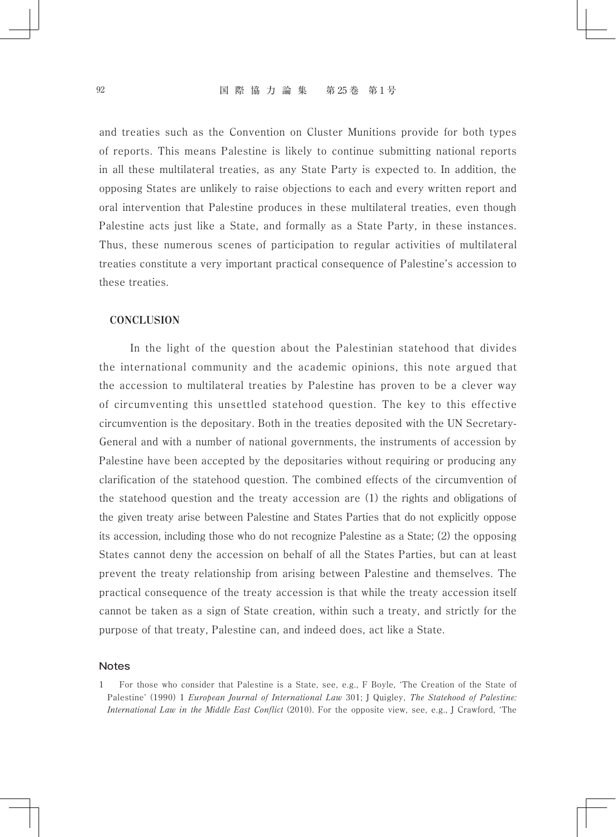and treaties such as the Convention on Cluster Munitions provide for both types of reports. This means Palestine is likely to continue submitting national reports in all these multilateral treaties, as any State Party is expected to. In addition, the opposing States are unlikely to raise objections to each and every written report and oral intervention that Palestine produces in these multilateral treaties, even though Palestine acts just like a State, and formally as a State Party, in these instances. Thus, these numerous scenes of participation to regular activities of multilateral treaties constitute a very important practical consequence of Palestine's accession to these treaties.

#### **CONCLUSION**

In the light of the question about the Palestinian statehood that divides the international community and the academic opinions, this note argued that the accession to multilateral treaties by Palestine has proven to be a clever way of circumventing this unsettled statehood question. The key to this effective circumvention is the depositary. Both in the treaties deposited with the UN Secretary-General and with a number of national governments, the instruments of accession by Palestine have been accepted by the depositaries without requiring or producing any clarification of the statehood question. The combined effects of the circumvention of the statehood question and the treaty accession are (1) the rights and obligations of the given treaty arise between Palestine and States Parties that do not explicitly oppose its accession, including those who do not recognize Palestine as a State; (2) the opposing States cannot deny the accession on behalf of all the States Parties, but can at least prevent the treaty relationship from arising between Palestine and themselves. The practical consequence of the treaty accession is that while the treaty accession itself cannot be taken as a sign of State creation, within such a treaty, and strictly for the purpose of that treaty, Palestine can, and indeed does, act like a State.

#### **Notes**

<sup>1</sup> For those who consider that Palestine is a State, see, e.g., F Boyle, 'The Creation of the State of Palestine' (1990) 1 *European Journal of International Law* 301; J Quigley, *The Statehood of Palestine: International Law in the Middle East Conflict* (2010). For the opposite view, see, e.g., J Crawford, 'The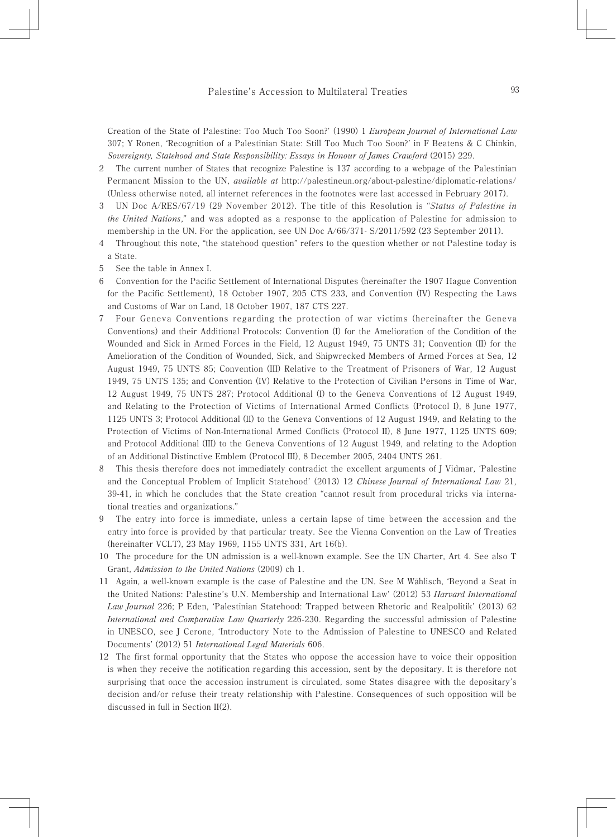Creation of the State of Palestine: Too Much Too Soon?' (1990) 1 *European Journal of International Law* 307; Y Ronen, 'Recognition of a Palestinian State: Still Too Much Too Soon?' in F Beatens & C Chinkin, *Sovereignty, Statehood and State Responsibility: Essays in Honour of James Crawford* (2015) 229.

- 2 The current number of States that recognize Palestine is 137 according to a webpage of the Palestinian Permanent Mission to the UN, *available at* http://palestineun.org/about-palestine/diplomatic-relations/ (Unless otherwise noted, all internet references in the footnotes were last accessed in February 2017).
- 3 UN Doc A/RES/67/19 (29 November 2012). The title of this Resolution is "*Status of Palestine in the United Nations*," and was adopted as a response to the application of Palestine for admission to membership in the UN. For the application, see UN Doc A/66/371- S/2011/592 (23 September 2011).
- 4 Throughout this note, "the statehood question" refers to the question whether or not Palestine today is a State.
- 5 See the table in Annex I.
- 6 Convention for the Pacific Settlement of International Disputes (hereinafter the 1907 Hague Convention for the Pacific Settlement), 18 October 1907, 205 CTS 233, and Convention (IV) Respecting the Laws and Customs of War on Land, 18 October 1907, 187 CTS 227.
- 7 Four Geneva Conventions regarding the protection of war victims (hereinafter the Geneva Conventions) and their Additional Protocols: Convention (I) for the Amelioration of the Condition of the Wounded and Sick in Armed Forces in the Field, 12 August 1949, 75 UNTS 31; Convention (II) for the Amelioration of the Condition of Wounded, Sick, and Shipwrecked Members of Armed Forces at Sea, 12 August 1949, 75 UNTS 85; Convention (III) Relative to the Treatment of Prisoners of War, 12 August 1949, 75 UNTS 135; and Convention (IV) Relative to the Protection of Civilian Persons in Time of War, 12 August 1949, 75 UNTS 287; Protocol Additional (I) to the Geneva Conventions of 12 August 1949, and Relating to the Protection of Victims of International Armed Conflicts (Protocol I), 8 June 1977, 1125 UNTS 3; Protocol Additional (II) to the Geneva Conventions of 12 August 1949, and Relating to the Protection of Victims of Non-International Armed Conflicts (Protocol II), 8 June 1977, 1125 UNTS 609; and Protocol Additional (III) to the Geneva Conventions of 12 August 1949, and relating to the Adoption of an Additional Distinctive Emblem (Protocol III), 8 December 2005, 2404 UNTS 261.
- 8 This thesis therefore does not immediately contradict the excellent arguments of J Vidmar, 'Palestine and the Conceptual Problem of Implicit Statehood' (2013) 12 *Chinese Journal of International Law* 21, 39-41, in which he concludes that the State creation "cannot result from procedural tricks via international treaties and organizations."
- The entry into force is immediate, unless a certain lapse of time between the accession and the entry into force is provided by that particular treaty. See the Vienna Convention on the Law of Treaties (hereinafter VCLT), 23 May 1969, 1155 UNTS 331, Art 16(b).
- 10 The procedure for the UN admission is a well-known example. See the UN Charter, Art 4. See also T Grant, *Admission to the United Nations* (2009) ch 1.
- 11 Again, a well-known example is the case of Palestine and the UN. See M Wählisch, 'Beyond a Seat in the United Nations: Palestine's U.N. Membership and International Law' (2012) 53 *Harvard International Law Journal* 226; P Eden, 'Palestinian Statehood: Trapped between Rhetoric and Realpolitik' (2013) 62 *International and Comparative Law Quarterly* 226-230. Regarding the successful admission of Palestine in UNESCO, see J Cerone, 'Introductory Note to the Admission of Palestine to UNESCO and Related Documents' (2012) 51 *International Legal Materials* 606.
- 12 The first formal opportunity that the States who oppose the accession have to voice their opposition is when they receive the notification regarding this accession, sent by the depositary. It is therefore not surprising that once the accession instrument is circulated, some States disagree with the depositary's decision and/or refuse their treaty relationship with Palestine. Consequences of such opposition will be discussed in full in Section II(2).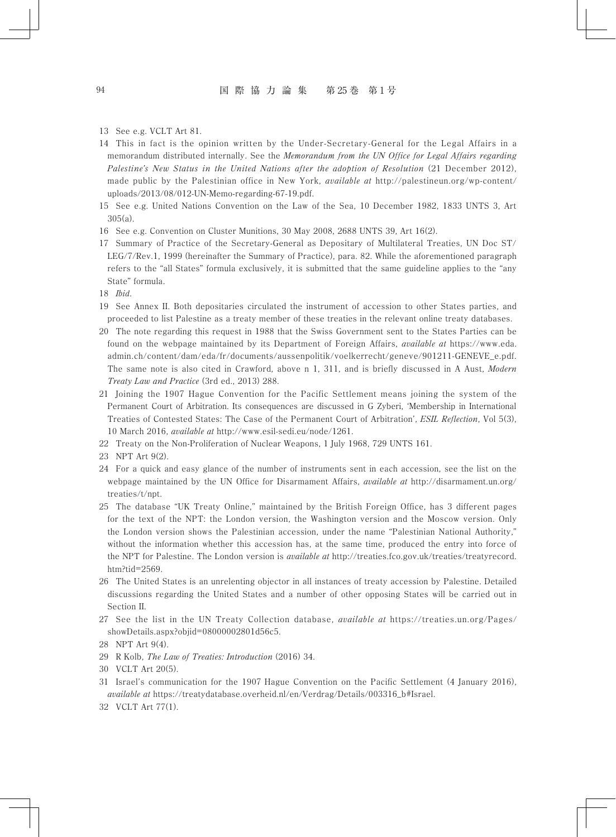#### 94 国 際 協 力 論 集 第 25 巻 第 1 号

13 See e.g. VCLT Art 81.

- 14 This in fact is the opinion written by the Under-Secretary-General for the Legal Affairs in a memorandum distributed internally. See the *Memorandum from the UN Office for Legal Affairs regarding Palestine's New Status in the United Nations after the adoption of Resolution* (21 December 2012), made public by the Palestinian office in New York, *available at* http://palestineun.org/wp-content/ uploads/2013/08/012-UN-Memo-regarding-67-19.pdf.
- 15 See e.g. United Nations Convention on the Law of the Sea, 10 December 1982, 1833 UNTS 3, Art 305(a).
- 16 See e.g. Convention on Cluster Munitions, 30 May 2008, 2688 UNTS 39, Art 16(2).
- 17 Summary of Practice of the Secretary-General as Depositary of Multilateral Treaties, UN Doc ST/ LEG/7/Rev.1, 1999 (hereinafter the Summary of Practice), para. 82. While the aforementioned paragraph refers to the "all States" formula exclusively, it is submitted that the same guideline applies to the "any State" formula.
- 18 *Ibid*.
- 19 See Annex II. Both depositaries circulated the instrument of accession to other States parties, and proceeded to list Palestine as a treaty member of these treaties in the relevant online treaty databases.
- 20 The note regarding this request in 1988 that the Swiss Government sent to the States Parties can be found on the webpage maintained by its Department of Foreign Affairs, *available at* https://www.eda. admin.ch/content/dam/eda/fr/documents/aussenpolitik/voelkerrecht/geneve/901211-GENEVE\_e.pdf. The same note is also cited in Crawford, above n 1, 311, and is briefly discussed in A Aust, *Modern Treaty Law and Practice* (3rd ed., 2013) 288.
- 21 Joining the 1907 Hague Convention for the Pacific Settlement means joining the system of the Permanent Court of Arbitration. Its consequences are discussed in G Zyberi, 'Membership in International Treaties of Contested States: The Case of the Permanent Court of Arbitration', *ESIL Reflection*, Vol 5(3), 10 March 2016, *available at* http://www.esil-sedi.eu/node/1261.
- 22 Treaty on the Non-Proliferation of Nuclear Weapons, 1 July 1968, 729 UNTS 161.
- 23 NPT Art 9(2).
- 24 For a quick and easy glance of the number of instruments sent in each accession, see the list on the webpage maintained by the UN Office for Disarmament Affairs, *available at* http://disarmament.un.org/ treaties/t/npt.
- 25 The database "UK Treaty Online," maintained by the British Foreign Office, has 3 different pages for the text of the NPT: the London version, the Washington version and the Moscow version. Only the London version shows the Palestinian accession, under the name "Palestinian National Authority," without the information whether this accession has, at the same time, produced the entry into force of the NPT for Palestine. The London version is *available at* http://treaties.fco.gov.uk/treaties/treatyrecord. htm?tid=2569.
- 26 The United States is an unrelenting objector in all instances of treaty accession by Palestine. Detailed discussions regarding the United States and a number of other opposing States will be carried out in Section II.
- 27 See the list in the UN Treaty Collection database, *available at* https://treaties.un.org/Pages/ showDetails.aspx?objid=08000002801d56c5.
- 28 NPT Art 9(4).
- 29 R Kolb, *The Law of Treaties: Introduction* (2016) 34.
- 30 VCLT Art 20(5).
- 31 Israel's communication for the 1907 Hague Convention on the Pacific Settlement (4 January 2016), *available at* https://treatydatabase.overheid.nl/en/Verdrag/Details/003316\_b#Israel.
- 32 VCLT Art 77(1).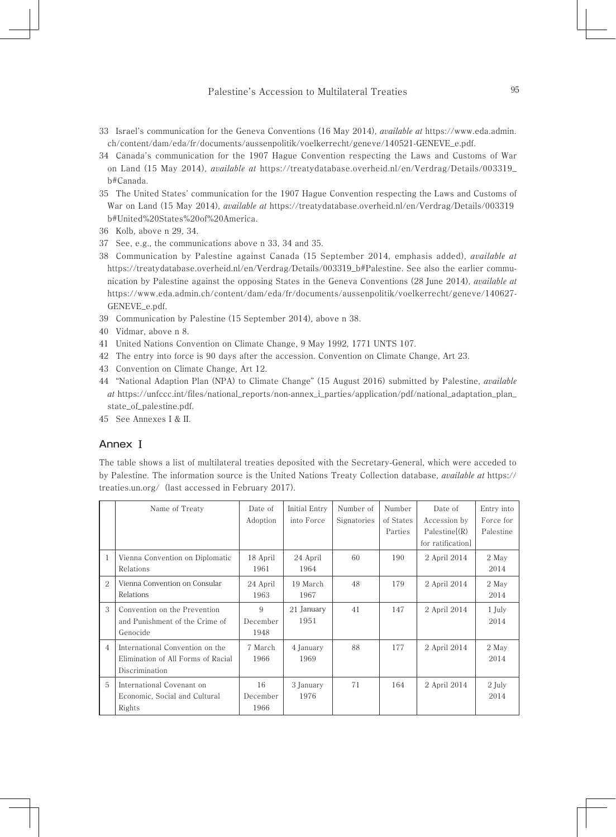- 33 Israel's communication for the Geneva Conventions (16 May 2014), *available at* https://www.eda.admin. ch/content/dam/eda/fr/documents/aussenpolitik/voelkerrecht/geneve/140521-GENEVE\_e.pdf.
- 34 Canada's communication for the 1907 Hague Convention respecting the Laws and Customs of War on Land (15 May 2014), *available at* https://treatydatabase.overheid.nl/en/Verdrag/Details/003319\_ b#Canada.
- 35 The United States' communication for the 1907 Hague Convention respecting the Laws and Customs of War on Land (15 May 2014), *available at* https://treatydatabase.overheid.nl/en/Verdrag/Details/003319\_ b#United%20States%20of%20America.
- 36 Kolb, above n 29, 34.
- 37 See, e.g., the communications above n 33, 34 and 35.
- 38 Communication by Palestine against Canada (15 September 2014, emphasis added), *available at* https://treatydatabase.overheid.nl/en/Verdrag/Details/003319\_b#Palestine. See also the earlier communication by Palestine against the opposing States in the Geneva Conventions (28 June 2014), *available at* https://www.eda.admin.ch/content/dam/eda/fr/documents/aussenpolitik/voelkerrecht/geneve/140627- GENEVE\_e.pdf.
- 39 Communication by Palestine (15 September 2014), above n 38.
- 40 Vidmar, above n 8.
- 41 United Nations Convention on Climate Change, 9 May 1992, 1771 UNTS 107.
- 42 The entry into force is 90 days after the accession. Convention on Climate Change, Art 23.
- 43 Convention on Climate Change, Art 12.
- 44 "National Adaption Plan (NPA) to Climate Change" (15 August 2016) submitted by Palestine, *available at* https://unfccc.int/files/national\_reports/non-annex\_i\_parties/application/pdf/national\_adaptation\_plan\_ state\_of\_palestine.pdf.
- 45 See Annexes I & II.

### Annex **Ⅰ**

The table shows a list of multilateral treaties deposited with the Secretary-General, which were acceded to by Palestine. The information source is the United Nations Treaty Collection database, *available at* https:// treaties.un.org/ (last accessed in February 2017).

|        | Name of Treaty                     | Date of     | <b>Initial Entry</b> | Number of   | Number    | Date of          | Entry into |
|--------|------------------------------------|-------------|----------------------|-------------|-----------|------------------|------------|
|        |                                    | Adoption    | into Force           | Signatories | of States | Accession by     | Force for  |
|        |                                    |             |                      |             | Parties   | Palesline(R)     | Palestine  |
|        |                                    |             |                      |             |           | for ratification |            |
| 1      | Vienna Convention on Diplomatic    | 18 April    | 24 April             | 60          | 190       | 2 April 2014     | 2 May      |
|        | Relations                          | 1961        | 1964                 |             |           |                  | 2014       |
| $^{2}$ | Vienna Convention on Consular      | 24 April    | 19 March             | 48          | 179       | 2 April 2014     | 2 May      |
|        | Relations                          | 1963        | 1967                 |             |           |                  | 2014       |
| 3      | Convention on the Prevention       | $\mathbf Q$ | 21 January           | 41          | 147       | 2 April 2014     | $1$ July   |
|        | and Punishment of the Crime of     | December    | 1951                 |             |           |                  | 2014       |
|        | Genocide                           | 1948        |                      |             |           |                  |            |
| 4      | International Convention on the    | 7 March     | 4 January            | 88          | 177       | 2 April 2014     | 2 May      |
|        | Elimination of All Forms of Racial | 1966        | 1969                 |             |           |                  | 2014       |
|        | Discrimination                     |             |                      |             |           |                  |            |
| 5      | International Covenant on          | 16          | 3 January            | 71          | 164       | 2 April 2014     | 2 July     |
|        | Economic, Social and Cultural      | December    | 1976                 |             |           |                  | 2014       |
|        | Rights                             | 1966        |                      |             |           |                  |            |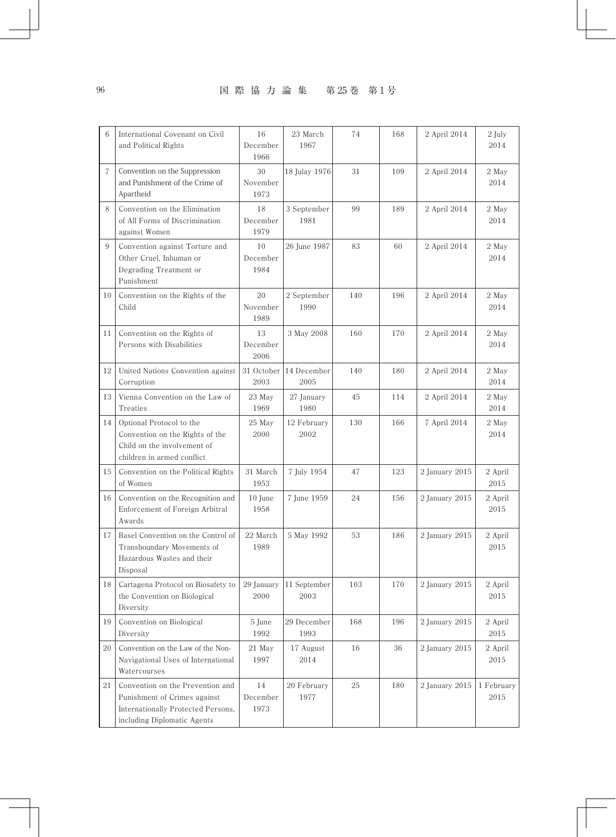## 96 国 際 協 力 論 集 第25巻 第1号

| 6  | International Covenant on Civil<br>and Political Rights                                                                               | 16<br>December<br>1966                        | 23 March<br>1967     | 74  | 168 | 2 April 2014   | 2 July<br>2014     |
|----|---------------------------------------------------------------------------------------------------------------------------------------|-----------------------------------------------|----------------------|-----|-----|----------------|--------------------|
| 7  | Convention on the Suppression<br>and Punishment of the Crime of<br>Apartheid                                                          | 30<br>November<br>1973                        | 18 Julay 1976        | 31  | 109 | 2 April 2014   | 2 May<br>2014      |
| 8  | Convention on the Elimination<br>of All Forms of Discrimination<br>against Women                                                      | 18<br>December<br>1979                        | 3 September<br>1981  | 99  | 189 | 2 April 2014   | 2 May<br>2014      |
| 9  | Convention against Torture and<br>Other Cruel, Inhuman or<br>Degrading Treatment or<br>Punishment                                     | 10<br>December<br>1984                        | 26 June 1987         | 83  | 60  | 2 April 2014   | 2 May<br>2014      |
| 10 | Convention on the Rights of the<br>Child                                                                                              | 20<br>2 September<br>November<br>1990<br>1989 |                      | 140 | 196 | 2 April 2014   | 2 May<br>2014      |
| 11 | Convention on the Rights of<br>Persons with Disabilities                                                                              | 13<br>December<br>2006                        | 3 May 2008           | 160 | 170 | 2 April 2014   | 2 May<br>2014      |
| 12 | United Nations Convention against<br>Corruption                                                                                       | 31 October<br>2003                            | 14 December<br>2005  | 140 | 180 | 2 April 2014   | 2 May<br>2014      |
| 13 | Vienna Convention on the Law of<br>Treaties                                                                                           | 23 May<br>1969                                | 27 January<br>1980   | 45  | 114 | 2 April 2014   | 2 May<br>2014      |
| 14 | Optional Protocol to the<br>Convention on the Rights of the<br>Child on the involvement of<br>children in armed conflict              | 25 May<br>2000                                | 12 February<br>2002  | 130 | 166 | 7 April 2014   | 2 May<br>2014      |
| 15 | Convention on the Political Rights<br>of Women                                                                                        | 31 March<br>1953                              | 7 July 1954          | 47  | 123 | 2 January 2015 | 2 April<br>2015    |
| 16 | Convention on the Recognition and<br>Enforcement of Foreign Arbitral<br>Awards                                                        | 10 June<br>1958                               | 7 June 1959          | 24  | 156 | 2 January 2015 | 2 April<br>2015    |
| 17 | Basel Convention on the Control of<br>Transboundary Movements of<br>Hazardous Wastes and their<br>Disposal                            | 22 March<br>1989                              | 5 May 1992           | 53  | 186 | 2 January 2015 | 2 April<br>2015    |
| 18 | Cartagena Protocol on Biosafety to<br>the Convention on Biological<br>Diversity                                                       | 29 January<br>2000                            | 11 September<br>2003 | 103 | 170 | 2 January 2015 | 2 April<br>2015    |
| 19 | Convention on Biological<br>Diversity                                                                                                 | 5 June<br>1992                                | 29 December<br>1993  | 168 | 196 | 2 January 2015 | 2 April<br>2015    |
| 20 | Convention on the Law of the Non-<br>Navigational Uses of International<br>Watercourses                                               | 21 May<br>1997                                | 17 August<br>2014    | 16  | 36  | 2 January 2015 | 2 April<br>2015    |
| 21 | Convention on the Prevention and<br>Punishment of Crimes against<br>Internationally Protected Persons,<br>including Diplomatic Agents | 14<br>December<br>1973                        | 20 February<br>1977  | 25  | 180 | 2 January 2015 | 1 February<br>2015 |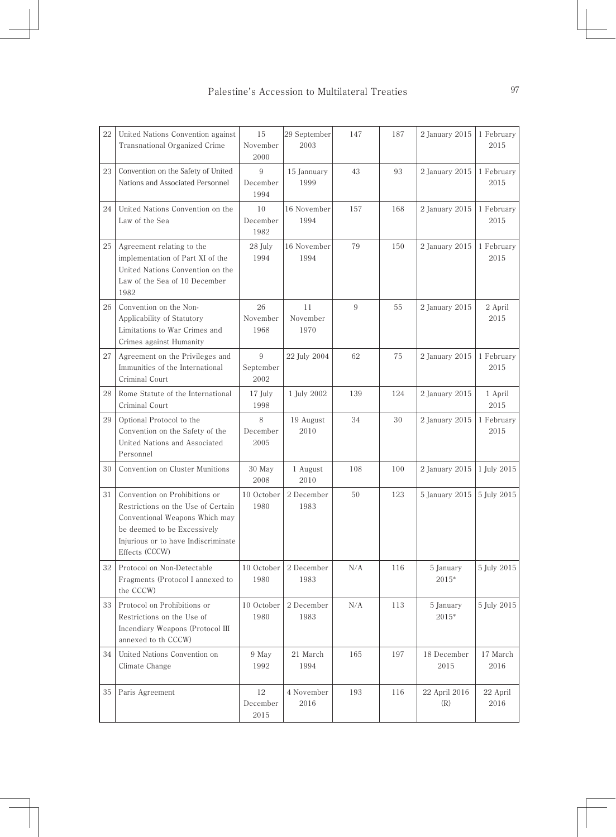| 22 | United Nations Convention against<br>Transnational Organized Crime                                                                                                                            | 15<br>November<br>2000 | 29 September<br>2003   | 147 | 187 | 2 January 2015       | 1 February<br>2015 |
|----|-----------------------------------------------------------------------------------------------------------------------------------------------------------------------------------------------|------------------------|------------------------|-----|-----|----------------------|--------------------|
| 23 | Convention on the Safety of United<br>Nations and Associated Personnel                                                                                                                        | 9<br>December<br>1994  | 15 Jannuary<br>1999    | 43  | 93  | 2 January 2015       | 1 February<br>2015 |
| 24 | United Nations Convention on the<br>Law of the Sea                                                                                                                                            | 10<br>December<br>1982 | 16 November<br>1994    | 157 | 168 | 2 January 2015       | 1 February<br>2015 |
| 25 | Agreement relating to the<br>implementation of Part XI of the<br>United Nations Convention on the<br>Law of the Sea of 10 December<br>1982                                                    | 28 July<br>1994        | 16 November<br>1994    | 79  | 150 | 2 January 2015       | 1 February<br>2015 |
| 26 | Convention on the Non-<br>Applicability of Statutory<br>Limitations to War Crimes and<br>Crimes against Humanity                                                                              | 26<br>November<br>1968 | 11<br>November<br>1970 | 9   | 55  | 2 January 2015       | 2 April<br>2015    |
| 27 | Agreement on the Privileges and<br>Immunities of the International<br>Criminal Court                                                                                                          | 9<br>September<br>2002 | 22 July 2004           | 62  | 75  | 2 January 2015       | 1 February<br>2015 |
| 28 | Rome Statute of the International<br>Criminal Court                                                                                                                                           | 17 July<br>1998        | 1 July 2002            | 139 | 124 | 2 January 2015       | 1 April<br>2015    |
| 29 | Optional Protocol to the<br>Convention on the Safety of the<br>United Nations and Associated<br>Personnel                                                                                     | 8<br>December<br>2005  | 19 August<br>2010      | 34  | 30  | 2 January 2015       | 1 February<br>2015 |
| 30 | Convention on Cluster Munitions                                                                                                                                                               | 30 May<br>2008         | 1 August<br>2010       | 108 | 100 | 2 January 2015       | 1 July 2015        |
| 31 | Convention on Prohibitions or<br>Restrictions on the Use of Certain<br>Conventional Weapons Which may<br>be deemed to be Excessively<br>Injurious or to have Indiscriminate<br>Effects (CCCW) | 10 October<br>1980     | 2 December<br>1983     | 50  | 123 | 5 January 2015       | 5 July 2015        |
| 32 | Protocol on Non-Detectable<br>Fragments (Protocol I annexed to<br>the CCCW)                                                                                                                   | 10 October<br>1980     | 2 December<br>1983     | N/A | 116 | 5 January<br>2015*   | 5 July 2015        |
| 33 | Protocol on Prohibitions or<br>Restrictions on the Use of<br>Incendiary Weapons (Protocol III<br>annexed to th CCCW)                                                                          | 10 October<br>1980     | 2 December<br>1983     | N/A | 113 | 5 January<br>2015*   | 5 July 2015        |
| 34 | United Nations Convention on<br>Climate Change                                                                                                                                                | 9 May<br>1992          | 21 March<br>1994       | 165 | 197 | 18 December<br>2015  | 17 March<br>2016   |
| 35 | Paris Agreement                                                                                                                                                                               | 12<br>December<br>2015 | 4 November<br>2016     | 193 | 116 | 22 April 2016<br>(R) | 22 April<br>2016   |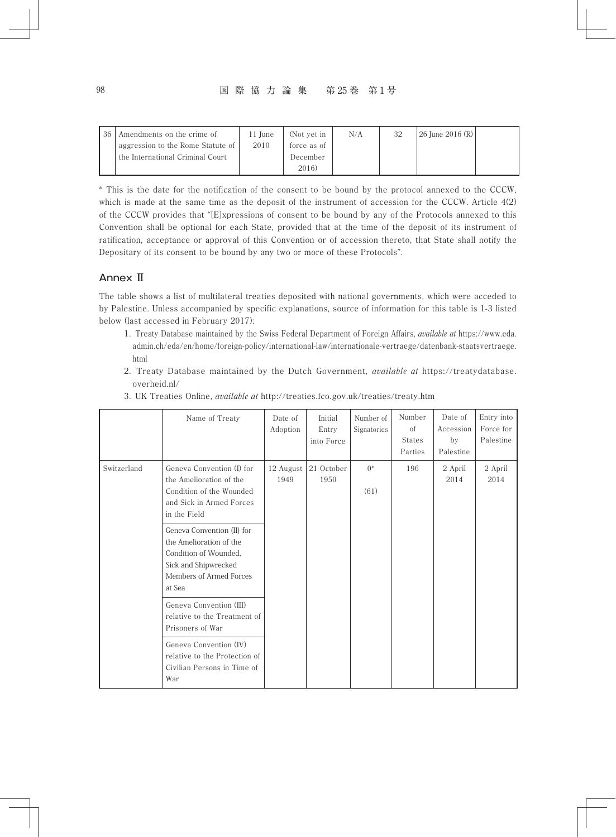#### 98 国 際 協 力 論 集 第 25 巻 第 1 号

| 36 | Amendments on the crime of        | 11 June | (Not vet in | N/A | 32 | $ 26$ June $2016$ (R) |  |
|----|-----------------------------------|---------|-------------|-----|----|-----------------------|--|
|    | aggression to the Rome Statute of | 2010    | force as of |     |    |                       |  |
|    | the International Criminal Court  |         | December    |     |    |                       |  |
|    |                                   |         | 2016)       |     |    |                       |  |

\* This is the date for the notification of the consent to be bound by the protocol annexed to the CCCW, which is made at the same time as the deposit of the instrument of accession for the CCCW. Article 4(2) of the CCCW provides that "[E]xpressions of consent to be bound by any of the Protocols annexed to this Convention shall be optional for each State, provided that at the time of the deposit of its instrument of ratification, acceptance or approval of this Convention or of accession thereto, that State shall notify the Depositary of its consent to be bound by any two or more of these Protocols".

## Annex **Ⅱ**

The table shows a list of multilateral treaties deposited with national governments, which were acceded to by Palestine. Unless accompanied by specific explanations, source of information for this table is 1-3 listed below (last accessed in February 2017):

- 1. Treaty Database maintained by the Swiss Federal Department of Foreign Affairs, *available at* https://www.eda. admin.ch/eda/en/home/foreign-policy/international-law/internationale-vertraege/datenbank-staatsvertraege. html
- 2. Treaty Database maintained by the Dutch Government, *available at* https://treatydatabase. overheid.nl/

|             | Name of Treaty                                                                                                                              | Date of<br>Adoption | Initial<br>Entry<br>into Force | Number of<br>Signatories | Number<br>of<br><b>States</b><br>Parties | Date of<br>Accession<br>by<br>Palestine | Entry into<br>Force for<br>Palestine |
|-------------|---------------------------------------------------------------------------------------------------------------------------------------------|---------------------|--------------------------------|--------------------------|------------------------------------------|-----------------------------------------|--------------------------------------|
| Switzerland | Geneva Convention (I) for<br>the Amelioration of the<br>Condition of the Wounded<br>and Sick in Armed Forces<br>in the Field                | 12 August<br>1949   | 21 October<br>1950             | $0^*$<br>(61)            | 196                                      | 2 April<br>2014                         | 2 April<br>2014                      |
|             | Geneva Convention (II) for<br>the Amelioration of the<br>Condition of Wounded.<br>Sick and Shipwrecked<br>Members of Armed Forces<br>at Sea |                     |                                |                          |                                          |                                         |                                      |
|             | Geneva Convention (III)<br>relative to the Treatment of<br>Prisoners of War                                                                 |                     |                                |                          |                                          |                                         |                                      |
|             | Geneva Convention (IV)<br>relative to the Protection of<br>Civilian Persons in Time of<br>War                                               |                     |                                |                          |                                          |                                         |                                      |

3. UK Treaties Online, *available at* http://treaties.fco.gov.uk/treaties/treaty.htm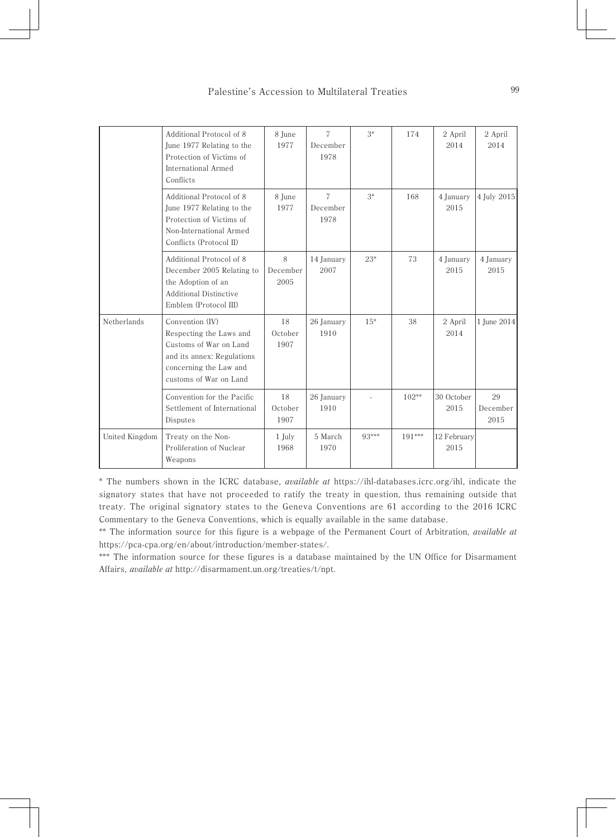|                | Additional Protocol of 8<br>June 1977 Relating to the<br>Protection of Victims of<br>International Armed<br>Conflicts                                  | 8 June<br>1977        | $\overline{7}$<br>December<br>1978 | $3*$  | 174     | 2 April<br>2014     | 2 April<br>2014        |
|----------------|--------------------------------------------------------------------------------------------------------------------------------------------------------|-----------------------|------------------------------------|-------|---------|---------------------|------------------------|
|                | Additional Protocol of 8<br>June 1977 Relating to the<br>Protection of Victims of<br>Non-International Armed<br>Conflicts (Protocol II)                | 8 June<br>1977        | $\tau$<br>December<br>1978         | $3*$  | 168     | 4 January<br>2015   | 4 July 2015            |
|                | Additional Protocol of 8<br>December 2005 Relating to<br>the Adoption of an<br><b>Additional Distinctive</b><br>Emblem (Protocol III)                  | 8<br>December<br>2005 | 14 January<br>2007                 | $23*$ | 73      | 4 January<br>2015   | 4 January<br>2015      |
| Netherlands    | Convention (IV)<br>Respecting the Laws and<br>Customs of War on Land<br>and its annex: Regulations<br>concerning the Law and<br>customs of War on Land | 18<br>October<br>1907 | 26 January<br>1910                 | $15*$ | 38      | 2 April<br>2014     | 1 June 2014            |
|                | Convention for the Pacific<br>Settlement of International<br>Disputes                                                                                  | 18<br>October<br>1907 | 26 January<br>1910                 |       | $102**$ | 30 October<br>2015  | 29<br>December<br>2015 |
| United Kingdom | Treaty on the Non-<br>Proliferation of Nuclear<br>Weapons                                                                                              | 1 July<br>1968        | 5 March<br>1970                    | 93*** | 191***  | 12 February<br>2015 |                        |

\* The numbers shown in the ICRC database, *available at* https://ihl-databases.icrc.org/ihl, indicate the signatory states that have not proceeded to ratify the treaty in question, thus remaining outside that treaty. The original signatory states to the Geneva Conventions are 61 according to the 2016 ICRC Commentary to the Geneva Conventions, which is equally available in the same database.

\*\* The information source for this figure is a webpage of the Permanent Court of Arbitration, *available at* https://pca-cpa.org/en/about/introduction/member-states/.

\*\*\* The information source for these figures is a database maintained by the UN Office for Disarmament Affairs, *available at* http://disarmament.un.org/treaties/t/npt.